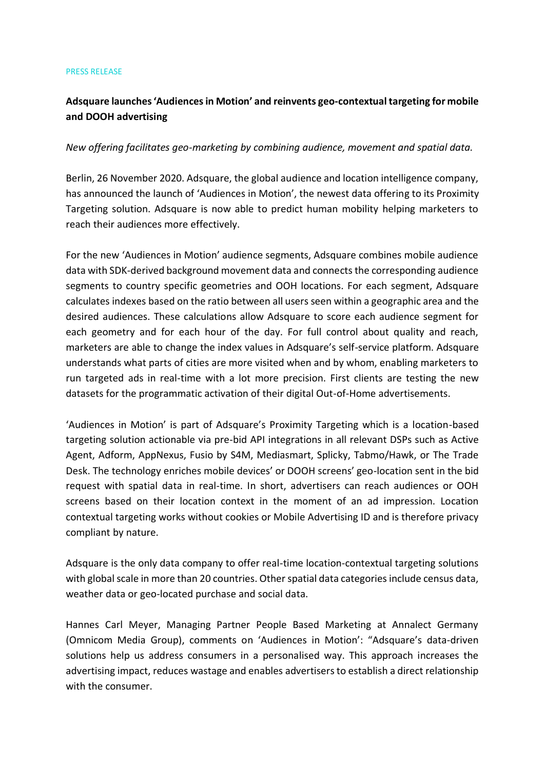## PRESS RELEASE

## **Adsquare launches 'Audiences in Motion' and reinvents geo-contextual targeting for mobile and DOOH advertising**

## *New offering facilitates geo-marketing by combining audience, movement and spatial data.*

Berlin, 26 November 2020. Adsquare, the global audience and location intelligence company, has announced the launch of 'Audiences in Motion', the newest data offering to its Proximity Targeting solution. Adsquare is now able to predict human mobility helping marketers to reach their audiences more effectively.

For the new 'Audiences in Motion' audience segments, Adsquare combines mobile audience data with SDK-derived background movement data and connects the corresponding audience segments to country specific geometries and OOH locations. For each segment, Adsquare calculates indexes based on the ratio between all users seen within a geographic area and the desired audiences. These calculations allow Adsquare to score each audience segment for each geometry and for each hour of the day. For full control about quality and reach, marketers are able to change the index values in Adsquare's self-service platform. Adsquare understands what parts of cities are more visited when and by whom, enabling marketers to run targeted ads in real-time with a lot more precision. First clients are testing the new datasets for the programmatic activation of their digital Out-of-Home advertisements.

'Audiences in Motion' is part of Adsquare's Proximity Targeting which is a location-based targeting solution actionable via pre-bid API integrations in all relevant DSPs such as Active Agent, Adform, AppNexus, Fusio by S4M, Mediasmart, Splicky, Tabmo/Hawk, or The Trade Desk. The technology enriches mobile devices' or DOOH screens' geo-location sent in the bid request with spatial data in real-time. In short, advertisers can reach audiences or OOH screens based on their location context in the moment of an ad impression. Location contextual targeting works without cookies or Mobile Advertising ID and is therefore privacy compliant by nature.

Adsquare is the only data company to offer real-time location-contextual targeting solutions with global scale in more than 20 countries. Other spatial data categories include census data, weather data or geo-located purchase and social data.

Hannes Carl Meyer, Managing Partner People Based Marketing at Annalect Germany (Omnicom Media Group), comments on 'Audiences in Motion': "Adsquare's data-driven solutions help us address consumers in a personalised way. This approach increases the advertising impact, reduces wastage and enables advertisers to establish a direct relationship with the consumer.